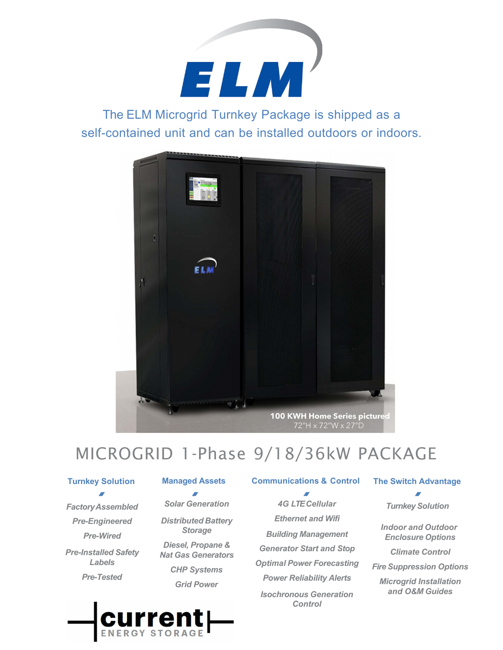

The ELM Microgrid Turnkey Package is shipped as a self-contained unit and can be installed outdoors or indoors.



# MICROGRID 1-Phase 9/18/36kW PACKAGE

#### **Turnkey Solution**

*FactoryAssembled Pre-Engineered Pre-Wired Pre-Installed Safety Labels Pre-Tested*

*Solar Generation Distributed Battery Storage Diesel, Propane &* 

*Nat Gas Generators CHP Systems Grid Power*

#### **Managed Assets Communications & Control**

*4G LTE Cellular Ethernet and Wifi Building Management Generator Start and Stop Optimal Power Forecasting Power Reliability Alerts Isochronous Generation Control*

#### **The Switch Advantage**

*Turnkey Solution*

*Indoor and Outdoor Enclosure Options*

*Climate Control*

*Fire Suppression Options*

*Microgrid Installation and O&M Guides*